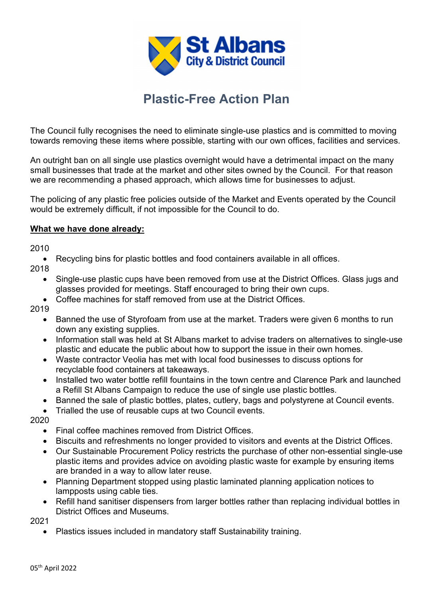

## Plastic-Free Action Plan

The Council fully recognises the need to eliminate single-use plastics and is committed to moving towards removing these items where possible, starting with our own offices, facilities and services.

An outright ban on all single use plastics overnight would have a detrimental impact on the many small businesses that trade at the market and other sites owned by the Council. For that reason we are recommending a phased approach, which allows time for businesses to adjust.

The policing of any plastic free policies outside of the Market and Events operated by the Council would be extremely difficult, if not impossible for the Council to do.

## What we have done already:

2010

Recycling bins for plastic bottles and food containers available in all offices.

2018

- Single-use plastic cups have been removed from use at the District Offices. Glass jugs and glasses provided for meetings. Staff encouraged to bring their own cups.
- Coffee machines for staff removed from use at the District Offices.
- 2019
	- Banned the use of Styrofoam from use at the market. Traders were given 6 months to run down any existing supplies.
	- Information stall was held at St Albans market to advise traders on alternatives to single-use plastic and educate the public about how to support the issue in their own homes.
	- Waste contractor Veolia has met with local food businesses to discuss options for recyclable food containers at takeaways.
	- Installed two water bottle refill fountains in the town centre and Clarence Park and launched a Refill St Albans Campaign to reduce the use of single use plastic bottles.
	- Banned the sale of plastic bottles, plates, cutlery, bags and polystyrene at Council events.
	- Trialled the use of reusable cups at two Council events.

2020

- Final coffee machines removed from District Offices.
- Biscuits and refreshments no longer provided to visitors and events at the District Offices.
- Our Sustainable Procurement Policy restricts the purchase of other non-essential single-use plastic items and provides advice on avoiding plastic waste for example by ensuring items are branded in a way to allow later reuse.
- Planning Department stopped using plastic laminated planning application notices to lampposts using cable ties.
- Refill hand sanitiser dispensers from larger bottles rather than replacing individual bottles in District Offices and Museums.

2021

Plastics issues included in mandatory staff Sustainability training.